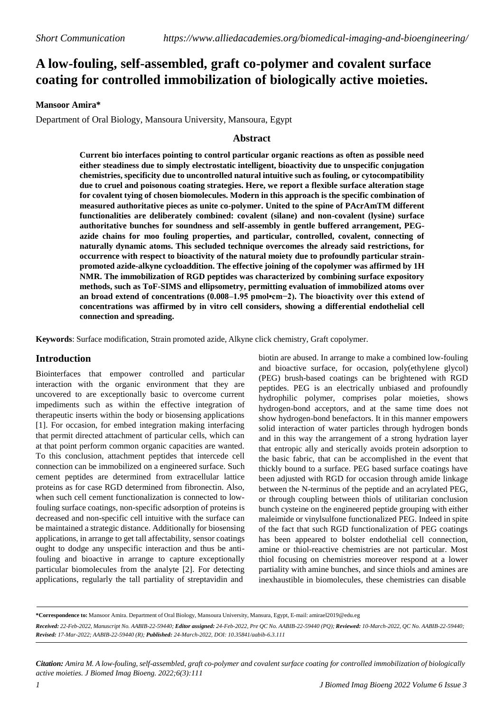# **A low-fouling, self-assembled, graft co-polymer and covalent surface coating for controlled immobilization of biologically active moieties.**

## **Mansoor Amira\***

Department of Oral Biology, Mansoura University, Mansoura, Egypt

## **Abstract**

**Current bio interfaces pointing to control particular organic reactions as often as possible need either steadiness due to simply electrostatic intelligent, bioactivity due to unspecific conjugation chemistries, specificity due to uncontrolled natural intuitive such as fouling, or cytocompatibility due to cruel and poisonous coating strategies. Here, we report a flexible surface alteration stage for covalent tying of chosen biomolecules. Modern in this approach is the specific combination of measured authoritative pieces as unite co-polymer. United to the spine of PAcrAmTM different functionalities are deliberately combined: covalent (silane) and non-covalent (lysine) surface authoritative bunches for soundness and self-assembly in gentle buffered arrangement, PEGazide chains for moo fouling properties, and particular, controlled, covalent, connecting of naturally dynamic atoms. This secluded technique overcomes the already said restrictions, for occurrence with respect to bioactivity of the natural moiety due to profoundly particular strainpromoted azide-alkyne cycloaddition. The effective joining of the copolymer was affirmed by 1H NMR. The immobilization of RGD peptides was characterized by combining surface expository methods, such as ToF-SIMS and ellipsometry, permitting evaluation of immobilized atoms over an broad extend of concentrations (0.008–1.95 pmol•cm−2). The bioactivity over this extend of concentrations was affirmed by in vitro cell considers, showing a differential endothelial cell connection and spreading.**

**Keywords**: Surface modification, Strain promoted azide, Alkyne click chemistry, Graft copolymer.

#### **Introduction**

Biointerfaces that empower controlled and particular interaction with the organic environment that they are uncovered to are exceptionally basic to overcome current impediments such as within the effective integration of therapeutic inserts within the body or biosensing applications [1]. For occasion, for embed integration making interfacing that permit directed attachment of particular cells, which can at that point perform common organic capacities are wanted. To this conclusion, attachment peptides that intercede cell connection can be immobilized on a engineered surface. Such cement peptides are determined from extracellular lattice proteins as for case RGD determined from fibronectin. Also, when such cell cement functionalization is connected to lowfouling surface coatings, non-specific adsorption of proteins is decreased and non-specific cell intuitive with the surface can be maintained a strategic distance. Additionally for biosensing applications, in arrange to get tall affectability, sensor coatings ought to dodge any unspecific interaction and thus be antifouling and bioactive in arrange to capture exceptionally particular biomolecules from the analyte [2]. For detecting applications, regularly the tall partiality of streptavidin and

biotin are abused. In arrange to make a combined low-fouling and bioactive surface, for occasion, poly(ethylene glycol) (PEG) brush-based coatings can be brightened with RGD peptides. PEG is an electrically unbiased and profoundly hydrophilic polymer, comprises polar moieties, shows hydrogen-bond acceptors, and at the same time does not show hydrogen-bond benefactors. It in this manner empowers solid interaction of water particles through hydrogen bonds and in this way the arrangement of a strong hydration layer that entropic ally and sterically avoids protein adsorption to the basic fabric, that can be accomplished in the event that thickly bound to a surface. PEG based surface coatings have been adjusted with RGD for occasion through amide linkage between the N-terminus of the peptide and an acrylated PEG, or through coupling between thiols of utilitarian conclusion bunch cysteine on the engineered peptide grouping with either maleimide or vinylsulfone functionalized PEG. Indeed in spite of the fact that such RGD functionalization of PEG coatings has been appeared to bolster endothelial cell connection, amine or thiol-reactive chemistries are not particular. Most thiol focusing on chemistries moreover respond at a lower partiality with amine bunches, and since thiols and amines are inexhaustible in biomolecules, these chemistries can disable

**\*Correspondence to:** Mansoor Amira. Department of Oral Biology, Mansoura University, Mansura, Egypt, E-mail: amirael2019@edu.eg

Received: 22-Feb-2022, Manuscript No. AABIB-22-59440; Editor assigned: 24-Feb-2022, Pre QC No. AABIB-22-59440 (PQ); Reviewed: 10-March-2022, QC No. AABIB-22-59440; *Revised: 17-Mar-2022; AABIB-22-59440 (R); Published: 24-March-2022, DOI: 10.35841/aabib-6.3.111*

Citation: Amira M. A low-fouling, self-assembled, graft co-polymer and covalent surface coating for controlled immobilization of biologically *active moieties. J Biomed Imag Bioeng. 2022;6(3):111*